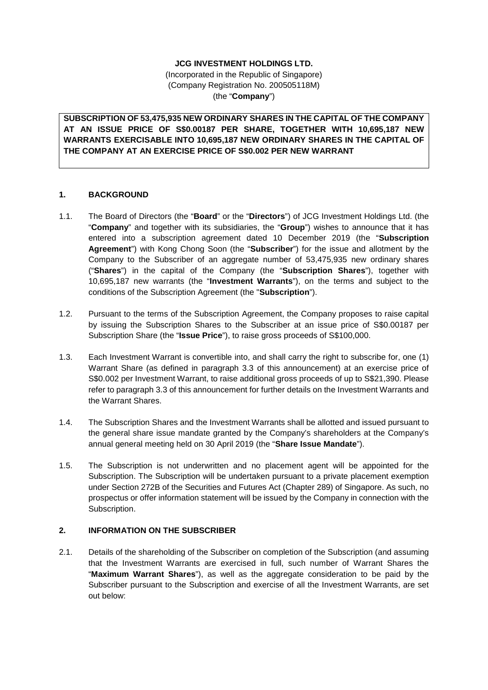## **JCG INVESTMENT HOLDINGS LTD.**

(Incorporated in the Republic of Singapore) (Company Registration No. 200505118M) (the "**Company**")

**SUBSCRIPTION OF 53,475,935 NEW ORDINARY SHARES IN THE CAPITAL OF THE COMPANY AT AN ISSUE PRICE OF S\$0.00187 PER SHARE, TOGETHER WITH 10,695,187 NEW WARRANTS EXERCISABLE INTO 10,695,187 NEW ORDINARY SHARES IN THE CAPITAL OF THE COMPANY AT AN EXERCISE PRICE OF S\$0.002 PER NEW WARRANT**

#### **1. BACKGROUND**

- 1.1. The Board of Directors (the "**Board**" or the "**Directors**") of JCG Investment Holdings Ltd. (the "**Company**" and together with its subsidiaries, the "**Group**") wishes to announce that it has entered into a subscription agreement dated 10 December 2019 (the "**Subscription Agreement**") with Kong Chong Soon (the "**Subscriber**") for the issue and allotment by the Company to the Subscriber of an aggregate number of 53,475,935 new ordinary shares ("**Shares**") in the capital of the Company (the "**Subscription Shares**"), together with 10,695,187 new warrants (the "**Investment Warrants**"), on the terms and subject to the conditions of the Subscription Agreement (the "**Subscription**").
- 1.2. Pursuant to the terms of the Subscription Agreement, the Company proposes to raise capital by issuing the Subscription Shares to the Subscriber at an issue price of S\$0.00187 per Subscription Share (the "**Issue Price**"), to raise gross proceeds of S\$100,000.
- 1.3. Each Investment Warrant is convertible into, and shall carry the right to subscribe for, one (1) Warrant Share (as defined in paragraph 3.3 of this announcement) at an exercise price of S\$0.002 per Investment Warrant, to raise additional gross proceeds of up to S\$21,390. Please refer to paragraph 3.3 of this announcement for further details on the Investment Warrants and the Warrant Shares.
- 1.4. The Subscription Shares and the Investment Warrants shall be allotted and issued pursuant to the general share issue mandate granted by the Company's shareholders at the Company's annual general meeting held on 30 April 2019 (the "**Share Issue Mandate**").
- 1.5. The Subscription is not underwritten and no placement agent will be appointed for the Subscription. The Subscription will be undertaken pursuant to a private placement exemption under Section 272B of the Securities and Futures Act (Chapter 289) of Singapore. As such, no prospectus or offer information statement will be issued by the Company in connection with the Subscription.

## **2. INFORMATION ON THE SUBSCRIBER**

2.1. Details of the shareholding of the Subscriber on completion of the Subscription (and assuming that the Investment Warrants are exercised in full, such number of Warrant Shares the "**Maximum Warrant Shares**"), as well as the aggregate consideration to be paid by the Subscriber pursuant to the Subscription and exercise of all the Investment Warrants, are set out below: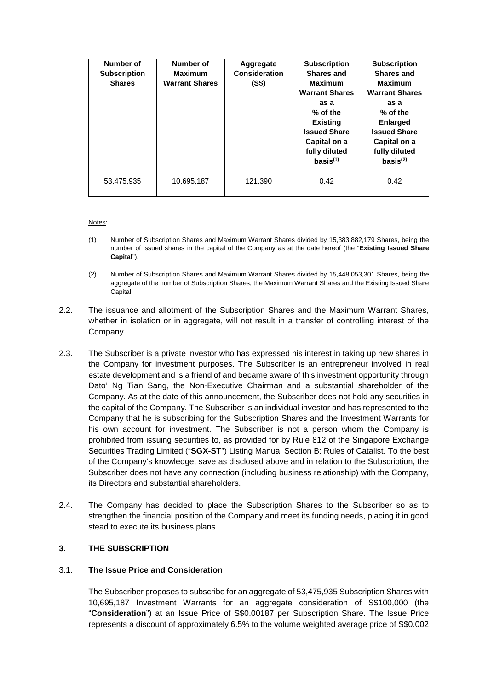| Number of<br><b>Subscription</b><br><b>Shares</b> | Number of<br><b>Maximum</b><br><b>Warrant Shares</b> | Aggregate<br><b>Consideration</b><br>(S\$) | <b>Subscription</b><br><b>Shares and</b><br><b>Maximum</b><br><b>Warrant Shares</b><br>as a<br>% of the<br><b>Existing</b><br><b>Issued Share</b><br>Capital on a<br>fully diluted<br>basis <sup>(1)</sup> | <b>Subscription</b><br>Shares and<br><b>Maximum</b><br><b>Warrant Shares</b><br>as a<br>% of the<br><b>Enlarged</b><br><b>Issued Share</b><br>Capital on a<br>fully diluted<br>basis <sup>(2)</sup> |
|---------------------------------------------------|------------------------------------------------------|--------------------------------------------|------------------------------------------------------------------------------------------------------------------------------------------------------------------------------------------------------------|-----------------------------------------------------------------------------------------------------------------------------------------------------------------------------------------------------|
| 53,475,935                                        | 10,695,187                                           | 121.390                                    | 0.42                                                                                                                                                                                                       | 0.42                                                                                                                                                                                                |

#### Notes:

- (1) Number of Subscription Shares and Maximum Warrant Shares divided by 15,383,882,179 Shares, being the number of issued shares in the capital of the Company as at the date hereof (the "**Existing Issued Share Capital**").
- (2) Number of Subscription Shares and Maximum Warrant Shares divided by 15,448,053,301 Shares, being the aggregate of the number of Subscription Shares, the Maximum Warrant Shares and the Existing Issued Share Capital.
- 2.2. The issuance and allotment of the Subscription Shares and the Maximum Warrant Shares, whether in isolation or in aggregate, will not result in a transfer of controlling interest of the Company.
- 2.3. The Subscriber is a private investor who has expressed his interest in taking up new shares in the Company for investment purposes. The Subscriber is an entrepreneur involved in real estate development and is a friend of and became aware of this investment opportunity through Dato' Ng Tian Sang, the Non-Executive Chairman and a substantial shareholder of the Company. As at the date of this announcement, the Subscriber does not hold any securities in the capital of the Company. The Subscriber is an individual investor and has represented to the Company that he is subscribing for the Subscription Shares and the Investment Warrants for his own account for investment. The Subscriber is not a person whom the Company is prohibited from issuing securities to, as provided for by Rule 812 of the Singapore Exchange Securities Trading Limited ("**SGX-ST**") Listing Manual Section B: Rules of Catalist. To the best of the Company's knowledge, save as disclosed above and in relation to the Subscription, the Subscriber does not have any connection (including business relationship) with the Company, its Directors and substantial shareholders.
- 2.4. The Company has decided to place the Subscription Shares to the Subscriber so as to strengthen the financial position of the Company and meet its funding needs, placing it in good stead to execute its business plans.

## **3. THE SUBSCRIPTION**

#### 3.1. **The Issue Price and Consideration**

The Subscriber proposes to subscribe for an aggregate of 53,475,935 Subscription Shares with 10,695,187 Investment Warrants for an aggregate consideration of S\$100,000 (the "**Consideration**") at an Issue Price of S\$0.00187 per Subscription Share. The Issue Price represents a discount of approximately 6.5% to the volume weighted average price of S\$0.002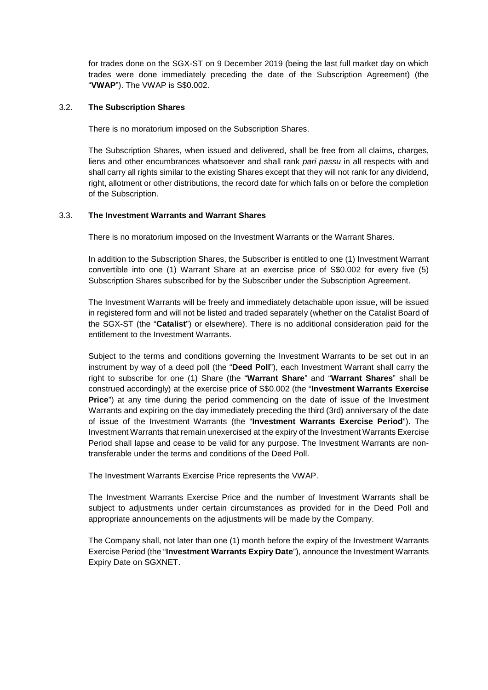for trades done on the SGX-ST on 9 December 2019 (being the last full market day on which trades were done immediately preceding the date of the Subscription Agreement) (the "**VWAP**"). The VWAP is S\$0.002.

#### 3.2. **The Subscription Shares**

There is no moratorium imposed on the Subscription Shares.

The Subscription Shares, when issued and delivered, shall be free from all claims, charges, liens and other encumbrances whatsoever and shall rank *pari passu* in all respects with and shall carry all rights similar to the existing Shares except that they will not rank for any dividend, right, allotment or other distributions, the record date for which falls on or before the completion of the Subscription.

## 3.3. **The Investment Warrants and Warrant Shares**

There is no moratorium imposed on the Investment Warrants or the Warrant Shares.

In addition to the Subscription Shares, the Subscriber is entitled to one (1) Investment Warrant convertible into one (1) Warrant Share at an exercise price of S\$0.002 for every five (5) Subscription Shares subscribed for by the Subscriber under the Subscription Agreement.

The Investment Warrants will be freely and immediately detachable upon issue, will be issued in registered form and will not be listed and traded separately (whether on the Catalist Board of the SGX-ST (the "**Catalist**") or elsewhere). There is no additional consideration paid for the entitlement to the Investment Warrants.

Subject to the terms and conditions governing the Investment Warrants to be set out in an instrument by way of a deed poll (the "**Deed Poll**"), each Investment Warrant shall carry the right to subscribe for one (1) Share (the "**Warrant Share**" and "**Warrant Shares**" shall be construed accordingly) at the exercise price of S\$0.002 (the "**Investment Warrants Exercise Price**") at any time during the period commencing on the date of issue of the Investment Warrants and expiring on the day immediately preceding the third (3rd) anniversary of the date of issue of the Investment Warrants (the "**Investment Warrants Exercise Period**"). The Investment Warrants that remain unexercised at the expiry of the Investment Warrants Exercise Period shall lapse and cease to be valid for any purpose. The Investment Warrants are nontransferable under the terms and conditions of the Deed Poll.

The Investment Warrants Exercise Price represents the VWAP.

The Investment Warrants Exercise Price and the number of Investment Warrants shall be subject to adjustments under certain circumstances as provided for in the Deed Poll and appropriate announcements on the adjustments will be made by the Company.

The Company shall, not later than one (1) month before the expiry of the Investment Warrants Exercise Period (the "**Investment Warrants Expiry Date**"), announce the Investment Warrants Expiry Date on SGXNET.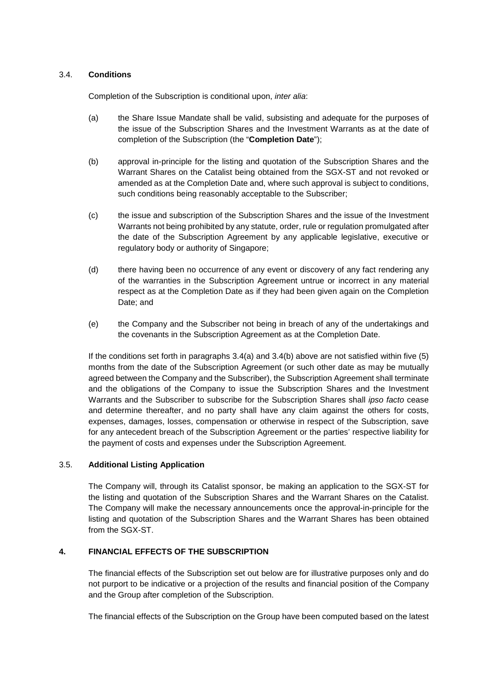## 3.4. **Conditions**

Completion of the Subscription is conditional upon, *inter alia*:

- (a) the Share Issue Mandate shall be valid, subsisting and adequate for the purposes of the issue of the Subscription Shares and the Investment Warrants as at the date of completion of the Subscription (the "**Completion Date**");
- (b) approval in-principle for the listing and quotation of the Subscription Shares and the Warrant Shares on the Catalist being obtained from the SGX-ST and not revoked or amended as at the Completion Date and, where such approval is subject to conditions, such conditions being reasonably acceptable to the Subscriber;
- (c) the issue and subscription of the Subscription Shares and the issue of the Investment Warrants not being prohibited by any statute, order, rule or regulation promulgated after the date of the Subscription Agreement by any applicable legislative, executive or regulatory body or authority of Singapore;
- (d) there having been no occurrence of any event or discovery of any fact rendering any of the warranties in the Subscription Agreement untrue or incorrect in any material respect as at the Completion Date as if they had been given again on the Completion Date; and
- (e) the Company and the Subscriber not being in breach of any of the undertakings and the covenants in the Subscription Agreement as at the Completion Date.

If the conditions set forth in paragraphs 3.4(a) and 3.4(b) above are not satisfied within five (5) months from the date of the Subscription Agreement (or such other date as may be mutually agreed between the Company and the Subscriber), the Subscription Agreement shall terminate and the obligations of the Company to issue the Subscription Shares and the Investment Warrants and the Subscriber to subscribe for the Subscription Shares shall *ipso facto* cease and determine thereafter, and no party shall have any claim against the others for costs, expenses, damages, losses, compensation or otherwise in respect of the Subscription, save for any antecedent breach of the Subscription Agreement or the parties' respective liability for the payment of costs and expenses under the Subscription Agreement.

## 3.5. **Additional Listing Application**

The Company will, through its Catalist sponsor, be making an application to the SGX-ST for the listing and quotation of the Subscription Shares and the Warrant Shares on the Catalist. The Company will make the necessary announcements once the approval-in-principle for the listing and quotation of the Subscription Shares and the Warrant Shares has been obtained from the SGX-ST.

# **4. FINANCIAL EFFECTS OF THE SUBSCRIPTION**

The financial effects of the Subscription set out below are for illustrative purposes only and do not purport to be indicative or a projection of the results and financial position of the Company and the Group after completion of the Subscription.

The financial effects of the Subscription on the Group have been computed based on the latest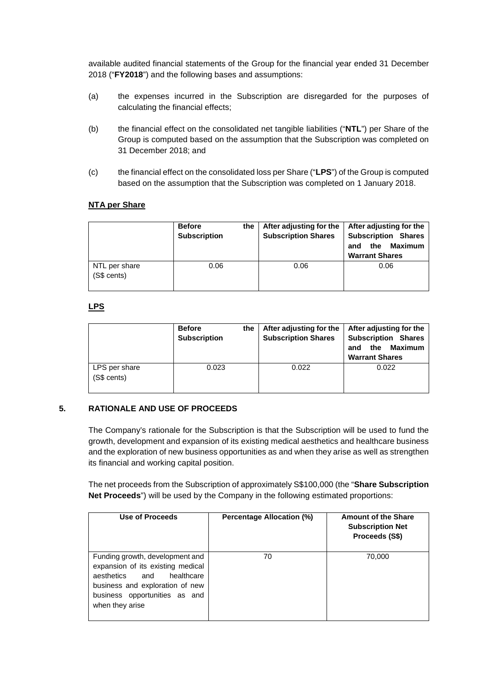available audited financial statements of the Group for the financial year ended 31 December 2018 ("**FY2018**") and the following bases and assumptions:

- (a) the expenses incurred in the Subscription are disregarded for the purposes of calculating the financial effects;
- (b) the financial effect on the consolidated net tangible liabilities ("**NTL**") per Share of the Group is computed based on the assumption that the Subscription was completed on 31 December 2018; and
- (c) the financial effect on the consolidated loss per Share ("**LPS**") of the Group is computed based on the assumption that the Subscription was completed on 1 January 2018.

## **NTA per Share**

|                              | <b>Before</b><br><b>Subscription</b> | the | After adjusting for the<br><b>Subscription Shares</b> | After adjusting for the<br><b>Subscription Shares</b><br><b>Maximum</b><br>the<br>and<br><b>Warrant Shares</b> |
|------------------------------|--------------------------------------|-----|-------------------------------------------------------|----------------------------------------------------------------------------------------------------------------|
| NTL per share<br>(S\$ cents) | 0.06                                 |     | 0.06                                                  | 0.06                                                                                                           |

# **LPS**

|                              | <b>Before</b><br>the<br><b>Subscription</b> | After adjusting for the<br><b>Subscription Shares</b> | After adjusting for the<br><b>Subscription Shares</b><br><b>Maximum</b><br>the<br>and<br><b>Warrant Shares</b> |
|------------------------------|---------------------------------------------|-------------------------------------------------------|----------------------------------------------------------------------------------------------------------------|
| LPS per share<br>(S\$ cents) | 0.023                                       | 0.022                                                 | 0.022                                                                                                          |

# **5. RATIONALE AND USE OF PROCEEDS**

The Company's rationale for the Subscription is that the Subscription will be used to fund the growth, development and expansion of its existing medical aesthetics and healthcare business and the exploration of new business opportunities as and when they arise as well as strengthen its financial and working capital position.

The net proceeds from the Subscription of approximately S\$100,000 (the "**Share Subscription Net Proceeds**") will be used by the Company in the following estimated proportions:

| Use of Proceeds                                                                                                                                                                                | Percentage Allocation (%) | <b>Amount of the Share</b><br><b>Subscription Net</b><br>Proceeds (S\$) |
|------------------------------------------------------------------------------------------------------------------------------------------------------------------------------------------------|---------------------------|-------------------------------------------------------------------------|
| Funding growth, development and<br>expansion of its existing medical<br>aesthetics<br>and<br>healthcare<br>business and exploration of new<br>business opportunities as and<br>when they arise | 70                        | 70,000                                                                  |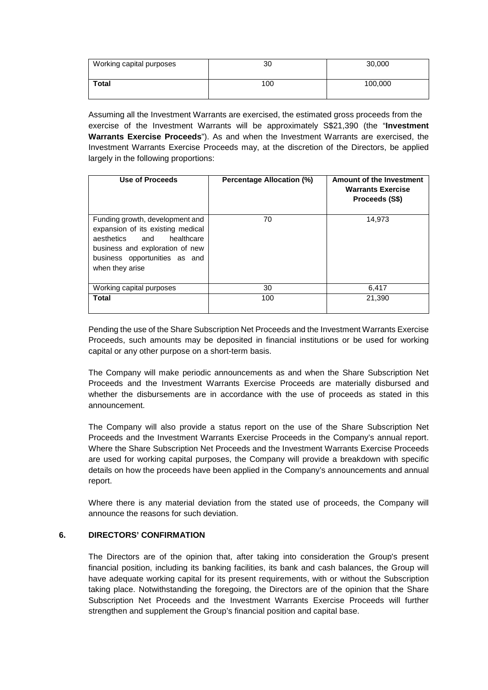| Working capital purposes | 30  | 30,000  |
|--------------------------|-----|---------|
| <b>Total</b>             | 100 | 100,000 |

Assuming all the Investment Warrants are exercised, the estimated gross proceeds from the exercise of the Investment Warrants will be approximately S\$21,390 (the "**Investment Warrants Exercise Proceeds**"). As and when the Investment Warrants are exercised, the Investment Warrants Exercise Proceeds may, at the discretion of the Directors, be applied largely in the following proportions:

| Use of Proceeds                                                                                                                                                                                | <b>Percentage Allocation (%)</b> | Amount of the Investment<br><b>Warrants Exercise</b><br>Proceeds (S\$) |
|------------------------------------------------------------------------------------------------------------------------------------------------------------------------------------------------|----------------------------------|------------------------------------------------------------------------|
| Funding growth, development and<br>expansion of its existing medical<br>healthcare<br>aesthetics<br>and<br>business and exploration of new<br>business opportunities as and<br>when they arise | 70                               | 14,973                                                                 |
| Working capital purposes                                                                                                                                                                       | 30                               | 6,417                                                                  |
| <b>Total</b>                                                                                                                                                                                   | 100                              | 21,390                                                                 |

Pending the use of the Share Subscription Net Proceeds and the Investment Warrants Exercise Proceeds, such amounts may be deposited in financial institutions or be used for working capital or any other purpose on a short-term basis.

The Company will make periodic announcements as and when the Share Subscription Net Proceeds and the Investment Warrants Exercise Proceeds are materially disbursed and whether the disbursements are in accordance with the use of proceeds as stated in this announcement.

The Company will also provide a status report on the use of the Share Subscription Net Proceeds and the Investment Warrants Exercise Proceeds in the Company's annual report. Where the Share Subscription Net Proceeds and the Investment Warrants Exercise Proceeds are used for working capital purposes, the Company will provide a breakdown with specific details on how the proceeds have been applied in the Company's announcements and annual report.

Where there is any material deviation from the stated use of proceeds, the Company will announce the reasons for such deviation.

# **6. DIRECTORS' CONFIRMATION**

The Directors are of the opinion that, after taking into consideration the Group's present financial position, including its banking facilities, its bank and cash balances, the Group will have adequate working capital for its present requirements, with or without the Subscription taking place. Notwithstanding the foregoing, the Directors are of the opinion that the Share Subscription Net Proceeds and the Investment Warrants Exercise Proceeds will further strengthen and supplement the Group's financial position and capital base.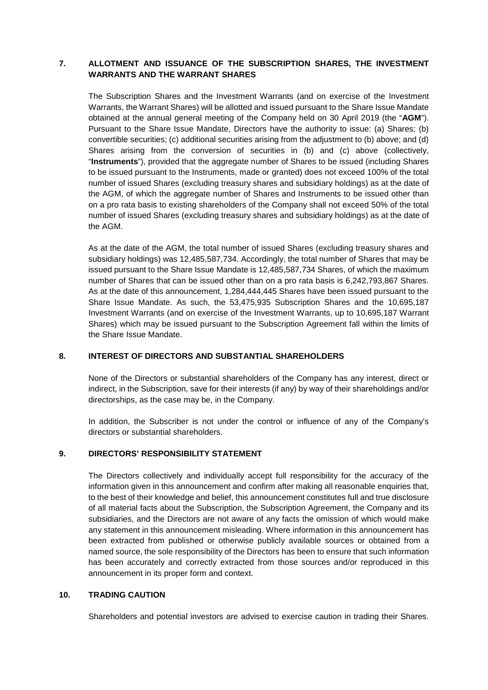## **7. ALLOTMENT AND ISSUANCE OF THE SUBSCRIPTION SHARES, THE INVESTMENT WARRANTS AND THE WARRANT SHARES**

The Subscription Shares and the Investment Warrants (and on exercise of the Investment Warrants, the Warrant Shares) will be allotted and issued pursuant to the Share Issue Mandate obtained at the annual general meeting of the Company held on 30 April 2019 (the "**AGM**"). Pursuant to the Share Issue Mandate, Directors have the authority to issue: (a) Shares; (b) convertible securities; (c) additional securities arising from the adjustment to (b) above; and (d) Shares arising from the conversion of securities in (b) and (c) above (collectively, "**Instruments**"), provided that the aggregate number of Shares to be issued (including Shares to be issued pursuant to the Instruments, made or granted) does not exceed 100% of the total number of issued Shares (excluding treasury shares and subsidiary holdings) as at the date of the AGM, of which the aggregate number of Shares and Instruments to be issued other than on a pro rata basis to existing shareholders of the Company shall not exceed 50% of the total number of issued Shares (excluding treasury shares and subsidiary holdings) as at the date of the AGM.

As at the date of the AGM, the total number of issued Shares (excluding treasury shares and subsidiary holdings) was 12,485,587,734. Accordingly, the total number of Shares that may be issued pursuant to the Share Issue Mandate is 12,485,587,734 Shares, of which the maximum number of Shares that can be issued other than on a pro rata basis is 6,242,793,867 Shares. As at the date of this announcement, 1,284,444,445 Shares have been issued pursuant to the Share Issue Mandate. As such, the 53,475,935 Subscription Shares and the 10,695,187 Investment Warrants (and on exercise of the Investment Warrants, up to 10,695,187 Warrant Shares) which may be issued pursuant to the Subscription Agreement fall within the limits of the Share Issue Mandate.

## **8. INTEREST OF DIRECTORS AND SUBSTANTIAL SHAREHOLDERS**

None of the Directors or substantial shareholders of the Company has any interest, direct or indirect, in the Subscription, save for their interests (if any) by way of their shareholdings and/or directorships, as the case may be, in the Company.

In addition, the Subscriber is not under the control or influence of any of the Company's directors or substantial shareholders.

## **9. DIRECTORS' RESPONSIBILITY STATEMENT**

The Directors collectively and individually accept full responsibility for the accuracy of the information given in this announcement and confirm after making all reasonable enquiries that, to the best of their knowledge and belief, this announcement constitutes full and true disclosure of all material facts about the Subscription, the Subscription Agreement, the Company and its subsidiaries, and the Directors are not aware of any facts the omission of which would make any statement in this announcement misleading. Where information in this announcement has been extracted from published or otherwise publicly available sources or obtained from a named source, the sole responsibility of the Directors has been to ensure that such information has been accurately and correctly extracted from those sources and/or reproduced in this announcement in its proper form and context.

## **10. TRADING CAUTION**

Shareholders and potential investors are advised to exercise caution in trading their Shares.